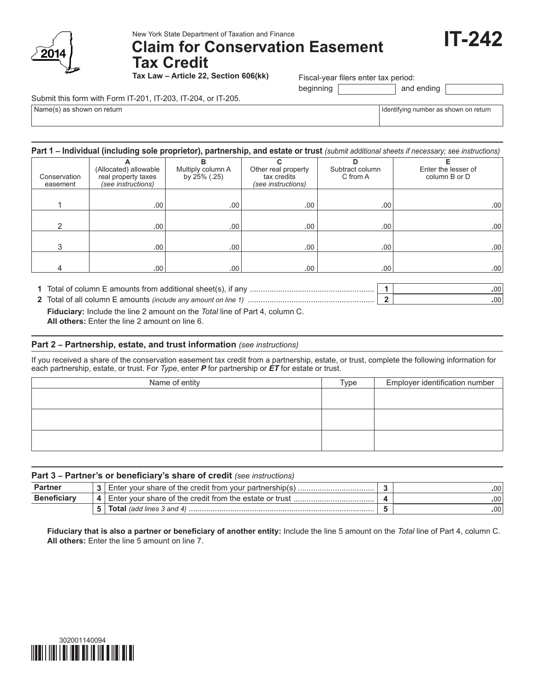

New York State Department of Taxation and Finance

# **Claim for Conservation Easement Tax Credit**

**Tax Law – Article 22, Section 606(kk)**

Fiscal-year filers enter tax period:

beginning and ending

Submit this form with Form IT-201, IT-203, IT-204, or IT-205.

 $Name(s)$  as shown on return

| dentifying number as shown on return |  |  |
|--------------------------------------|--|--|
|--------------------------------------|--|--|

**IT-242**

#### **Part 1 – Individual (including sole proprietor), partnership, and estate or trust** *(submit additional sheets if necessary; see instructions)*

| Conservation<br>easement | (Allocated) allowable<br>real property taxes<br>(see instructions) | в<br>Multiply column A<br>by 25% (.25) | Other real property<br>tax credits<br>(see instructions) | Subtract column<br>C from A | Enter the lesser of<br>column B or D |
|--------------------------|--------------------------------------------------------------------|----------------------------------------|----------------------------------------------------------|-----------------------------|--------------------------------------|
|                          | .00.                                                               | .00 <sup>1</sup>                       | .00.                                                     | .00.                        | .00.                                 |
| っ                        | .00 <sup>1</sup>                                                   | .00 <sup>1</sup>                       | .00.                                                     | .00 <sup>1</sup>            | .00.                                 |
| 3                        | .00.                                                               | .00.                                   | .00.                                                     | .00 <sup>1</sup>            | .00.                                 |
| 4                        | .00 <sup>1</sup>                                                   | .00 <sup>1</sup>                       | .00                                                      | .00 <sup>1</sup>            | .00.                                 |

**1** Total of column E amounts from additional sheet(s), if any ......................................................... **1 .**00

 **Fiduciary:** Include the line 2 amount on the *Total* line of Part 4, column C. **2** Total of all column E amounts *(include any amount on line 1)* .......................................................... **2 .**00

 **All others:** Enter the line 2 amount on line 6.

### **Part 2 – Partnership, estate, and trust information** *(see instructions)*

If you received a share of the conservation easement tax credit from a partnership, estate, or trust, complete the following information for each partnership, estate, or trust. For *Type*, enter *P* for partnership or *ET* for estate or trust.

| Name of entity | Type | Employer identification number |
|----------------|------|--------------------------------|
|                |      |                                |
|                |      |                                |
|                |      |                                |
|                |      |                                |
|                |      |                                |
|                |      |                                |

| Part 3 - Partner's or beneficiary's share of credit (see instructions) |  |                                                           |  |      |  |
|------------------------------------------------------------------------|--|-----------------------------------------------------------|--|------|--|
| <b>Partner</b>                                                         |  |                                                           |  | .00' |  |
| <b>Beneficiary</b>                                                     |  | 4 Enter your share of the credit from the estate or trust |  | .00' |  |
|                                                                        |  |                                                           |  | .00' |  |

 **Fiduciary that is also a partner or beneficiary of another entity:** Include the line 5 amount on the *Total* line of Part 4, column C.  **All others:** Enter the line 5 amount on line 7.